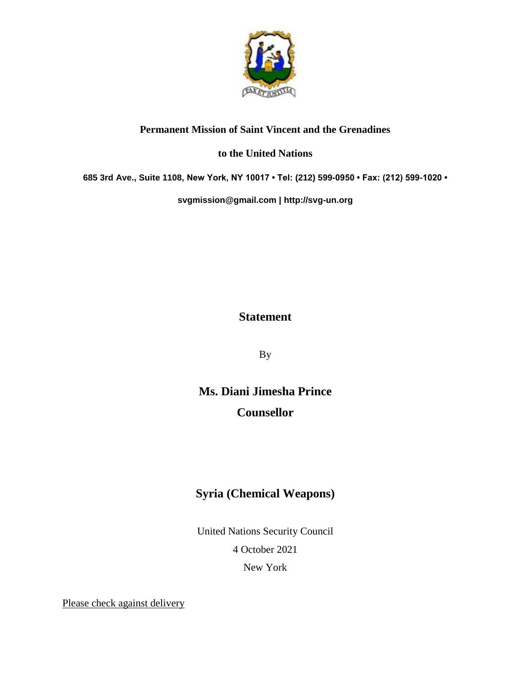

## **Permanent Mission of Saint Vincent and the Grenadines**

## **to the United Nations**

**685 3rd Ave., Suite 1108, New York, NY 10017 • Tel: (212) 599-0950 • Fax: (212) 599-1020 •** 

**[svgmission@gmail.com](mailto:svgmission@gmail.com) | [http://svg-un.org](http://svg-un.org/)**

## **Statement**

By

**Ms. Diani Jimesha Prince Counsellor**

## **Syria (Chemical Weapons)**

United Nations Security Council 4 October 2021 New York

Please check against delivery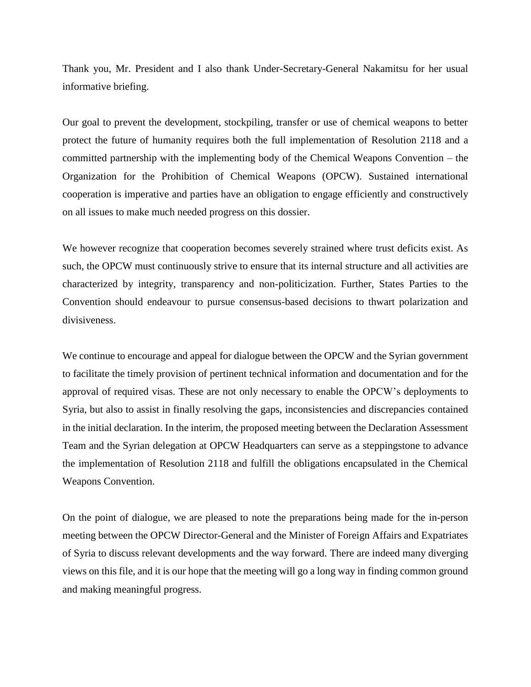Thank you, Mr. President and I also thank Under-Secretary-General Nakamitsu for her usual informative briefing.

Our goal to prevent the development, stockpiling, transfer or use of chemical weapons to better protect the future of humanity requires both the full implementation of Resolution 2118 and a committed partnership with the implementing body of the Chemical Weapons Convention – the Organization for the Prohibition of Chemical Weapons (OPCW). Sustained international cooperation is imperative and parties have an obligation to engage efficiently and constructively on all issues to make much needed progress on this dossier.

We however recognize that cooperation becomes severely strained where trust deficits exist. As such, the OPCW must continuously strive to ensure that its internal structure and all activities are characterized by integrity, transparency and non-politicization. Further, States Parties to the Convention should endeavour to pursue consensus-based decisions to thwart polarization and divisiveness.

We continue to encourage and appeal for dialogue between the OPCW and the Syrian government to facilitate the timely provision of pertinent technical information and documentation and for the approval of required visas. These are not only necessary to enable the OPCW's deployments to Syria, but also to assist in finally resolving the gaps, inconsistencies and discrepancies contained in the initial declaration. In the interim, the proposed meeting between the Declaration Assessment Team and the Syrian delegation at OPCW Headquarters can serve as a steppingstone to advance the implementation of Resolution 2118 and fulfill the obligations encapsulated in the Chemical Weapons Convention.

On the point of dialogue, we are pleased to note the preparations being made for the in-person meeting between the OPCW Director-General and the Minister of Foreign Affairs and Expatriates of Syria to discuss relevant developments and the way forward. There are indeed many diverging views on this file, and it is our hope that the meeting will go a long way in finding common ground and making meaningful progress.